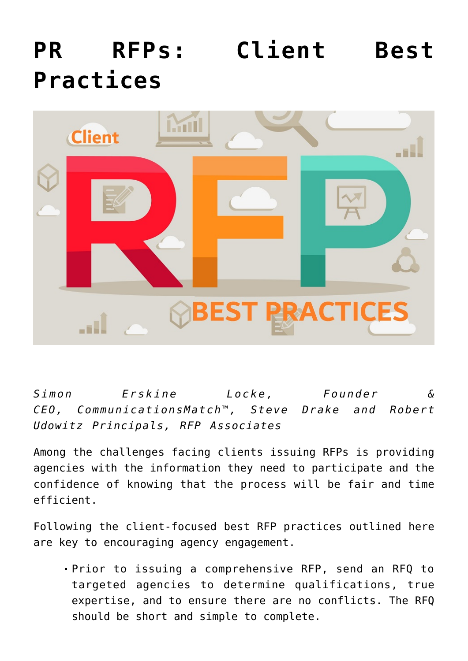## **[PR RFPs: Client Best](https://www.commpro.biz/pr-rfps-client-best-practices/) [Practices](https://www.commpro.biz/pr-rfps-client-best-practices/)**



*Simon Erskine Locke, Founder & CEO, [CommunicationsMatch](http://www.communicationsmatch.com/)™, Steve Drake and Robert Udowitz Principals, [RFP Associates](https://www.rfpassociates.net/)*

Among the challenges facing clients issuing RFPs is providing agencies with the information they need to participate and the confidence of knowing that the process will be fair and time efficient.

Following the client-focused best RFP practices outlined here are key to encouragin[g agency](https://www.commpro.biz/agency-new-business-checklist-five-questions-to-ask-yourself-to-win-more-often/) engagement.

Prior to issuing a comprehensive RFP, send an RFQ to targeted agencies to determine qualifications, true expertise, and to ensure there are no conflicts. The RFQ should be short and simple to complete.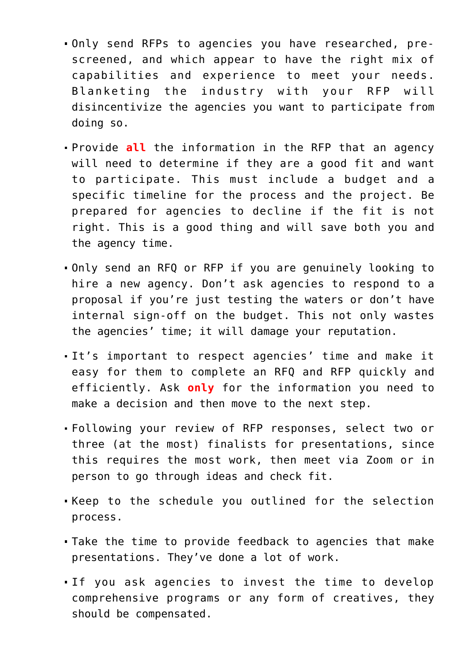- Only send RFPs to agencies you have researched, prescreened, and which appear to have the right mix of capabilities and experience to meet your needs. Blanketing the industry with your RFP will disincentivize the agencies you want to participate from doing so.
- Provide **all** the information in the RFP that an agency will need to determine if they are a good fit and want to participate. This must include a budget and a specific timeline for the process and the project. Be prepared for agencies to decline if the fit is not right. This is a good thing and will save both you and the agency time.
- Only send an RFQ or RFP if you are genuinely looking to hire a new agency. Don't ask agencies to respond to a proposal if you're just testing the waters or don't have internal sign-off on the budget. This not only wastes the agencies' time; it will damage your reputation.
- It's important to respect agencies' time and make it easy for them to complete an RFQ and RFP quickly and efficiently. Ask **only** for the information you need to make a decision and then move to the next step.
- Following your review of RFP responses, select two or three (at the most) finalists for presentations, since this requires the most work, then meet via Zoom or in person to go through ideas and check fit.
- Keep to the schedule you outlined for the selection process.
- Take the time to provide feedback to agencies that make presentations. They've done a lot of work.
- If you ask agencies to invest the time to develop comprehensive programs or any form of creatives, they should be compensated.